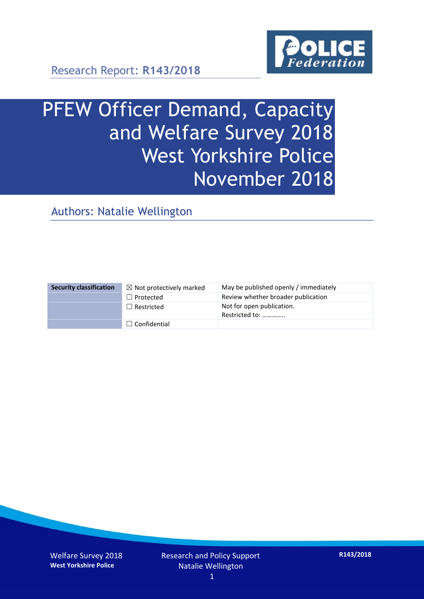

Research Report: **R143/2018**

# PFEW Officer Demand, Capacity and Welfare Survey 2018 West Yorkshire Police November 2018

Authors: Natalie Wellington

| <b>Security classification</b> | $\boxtimes$ Not protectively marked | May be published openly / immediately       |
|--------------------------------|-------------------------------------|---------------------------------------------|
|                                | $\Box$ Protected                    | Review whether broader publication          |
|                                | $\Box$ Restricted                   | Not for open publication.<br>Restricted to: |
|                                | $\Box$ Confidential                 |                                             |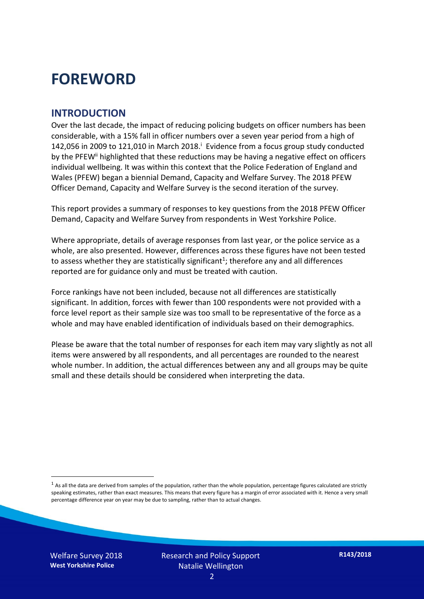### **FOREWORD**

#### **INTRODUCTION**

Over the last decade, the impact of reducing policing budgets on officer numbers has been considerable, with a 15% fall in officer numbers over a seven year period from a high of 142,056 in 2009 to 121,010 in March 2018. $^{\mathrm{i}}$  Evidence from a focus group study conducted by the PFEW<sup>ii</sup> highlighted that these reductions may be having a negative effect on officers individual wellbeing. It was within this context that the Police Federation of England and Wales (PFEW) began a biennial Demand, Capacity and Welfare Survey. The 2018 PFEW Officer Demand, Capacity and Welfare Survey is the second iteration of the survey.

This report provides a summary of responses to key questions from the 2018 PFEW Officer Demand, Capacity and Welfare Survey from respondents in West Yorkshire Police.

Where appropriate, details of average responses from last year, or the police service as a whole, are also presented. However, differences across these figures have not been tested to assess whether they are statistically significant<sup>1</sup>; therefore any and all differences reported are for guidance only and must be treated with caution.

Force rankings have not been included, because not all differences are statistically significant. In addition, forces with fewer than 100 respondents were not provided with a force level report as their sample size was too small to be representative of the force as a whole and may have enabled identification of individuals based on their demographics.

Please be aware that the total number of responses for each item may vary slightly as not all items were answered by all respondents, and all percentages are rounded to the nearest whole number. In addition, the actual differences between any and all groups may be quite small and these details should be considered when interpreting the data.

Welfare Survey 2018 **West Yorkshire Police**

-

 $<sup>1</sup>$  As all the data are derived from samples of the population, rather than the whole population, percentage figures calculated are strictly</sup> speaking estimates, rather than exact measures. This means that every figure has a margin of error associated with it. Hence a very small percentage difference year on year may be due to sampling, rather than to actual changes.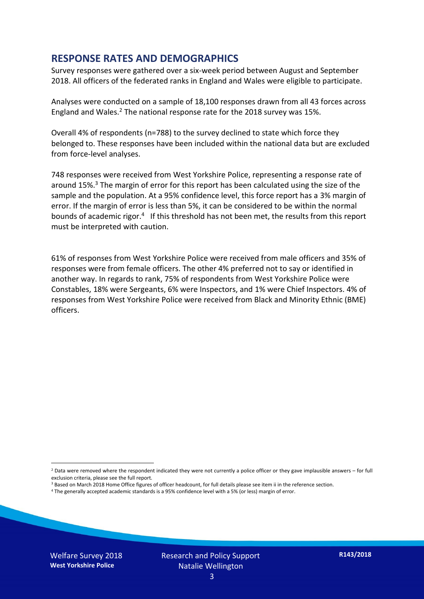#### **RESPONSE RATES AND DEMOGRAPHICS**

Survey responses were gathered over a six-week period between August and September 2018. All officers of the federated ranks in England and Wales were eligible to participate.

Analyses were conducted on a sample of 18,100 responses drawn from all 43 forces across England and Wales.<sup>2</sup> The national response rate for the 2018 survey was 15%.

Overall 4% of respondents (n=788) to the survey declined to state which force they belonged to. These responses have been included within the national data but are excluded from force-level analyses.

748 responses were received from West Yorkshire Police, representing a response rate of around 15%. <sup>3</sup> The margin of error for this report has been calculated using the size of the sample and the population. At a 95% confidence level, this force report has a 3% margin of error. If the margin of error is less than 5%, it can be considered to be within the normal bounds of academic rigor.<sup>4</sup> If this threshold has not been met, the results from this report must be interpreted with caution.

61% of responses from West Yorkshire Police were received from male officers and 35% of responses were from female officers. The other 4% preferred not to say or identified in another way. In regards to rank, 75% of respondents from West Yorkshire Police were Constables, 18% were Sergeants, 6% were Inspectors, and 1% were Chief Inspectors. 4% of responses from West Yorkshire Police were received from Black and Minority Ethnic (BME) officers.

-

 $2$  Data were removed where the respondent indicated they were not currently a police officer or they gave implausible answers – for full exclusion criteria, please see the full report.

<sup>3</sup> Based on March 2018 Home Office figures of officer headcount, for full details please see item ii in the reference section.

<sup>4</sup> The generally accepted academic standards is a 95% confidence level with a 5% (or less) margin of error.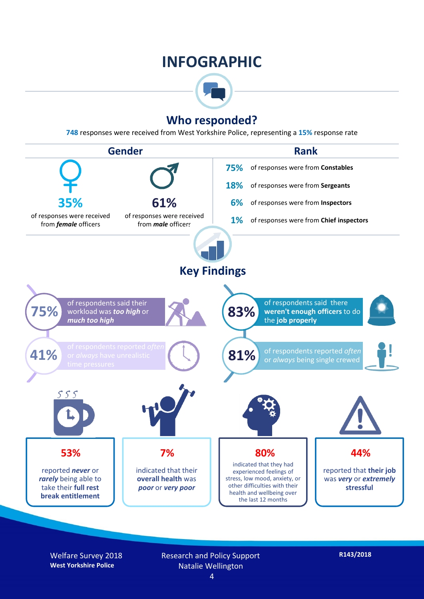### **INFOGRAPHIC**



#### **Who responded?**

**748** responses were received from West Yorkshire Police, representing a **15%** response rate



Welfare Survey 2018 **West Yorkshire Police**

Research and Policy Support Natalie Wellington 4

**R143/2018**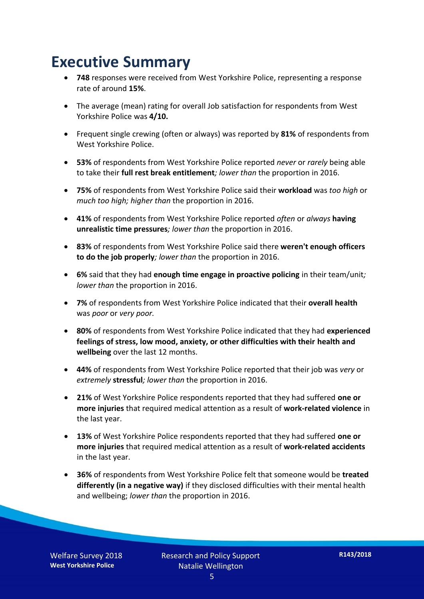### **Executive Summary**

- **748** responses were received from West Yorkshire Police, representing a response rate of around **15%**.
- The average (mean) rating for overall Job satisfaction for respondents from West Yorkshire Police was **4/10.**
- Frequent single crewing (often or always) was reported by **81%** of respondents from West Yorkshire Police.
- **53%** of respondents from West Yorkshire Police reported *never* or *rarely* being able to take their **full rest break entitlement***; lower than* the proportion in 2016.
- **75%** of respondents from West Yorkshire Police said their **workload** was *too high* or *much too high; higher than* the proportion in 2016.
- **41%** of respondents from West Yorkshire Police reported *often* or *always* **having unrealistic time pressures***; lower than* the proportion in 2016.
- **83%** of respondents from West Yorkshire Police said there **weren't enough officers to do the job properly***; lower than* the proportion in 2016.
- **6%** said that they had **enough time engage in proactive policing** in their team/unit*; lower than* the proportion in 2016.
- **7%** of respondents from West Yorkshire Police indicated that their **overall health** was *poor* or *very poor.*
- **80%** of respondents from West Yorkshire Police indicated that they had **experienced feelings of stress, low mood, anxiety, or other difficulties with their health and wellbeing** over the last 12 months.
- **44%** of respondents from West Yorkshire Police reported that their job was *very* or *extremely* **stressful***; lower than* the proportion in 2016.
- **21%** of West Yorkshire Police respondents reported that they had suffered **one or more injuries** that required medical attention as a result of **work-related violence** in the last year.
- **13%** of West Yorkshire Police respondents reported that they had suffered **one or more injuries** that required medical attention as a result of **work-related accidents**  in the last year.
- **36%** of respondents from West Yorkshire Police felt that someone would be **treated differently (in a negative way)** if they disclosed difficulties with their mental health and wellbeing; *lower than* the proportion in 2016.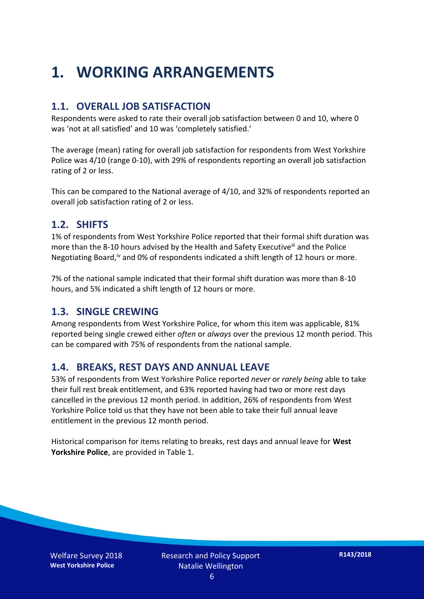### **1. WORKING ARRANGEMENTS**

#### **1.1. OVERALL JOB SATISFACTION**

Respondents were asked to rate their overall job satisfaction between 0 and 10, where 0 was 'not at all satisfied' and 10 was 'completely satisfied.'

The average (mean) rating for overall job satisfaction for respondents from West Yorkshire Police was 4/10 (range 0-10), with 29% of respondents reporting an overall job satisfaction rating of 2 or less.

This can be compared to the National average of 4/10, and 32% of respondents reported an overall job satisfaction rating of 2 or less.

#### **1.2. SHIFTS**

1% of respondents from West Yorkshire Police reported that their formal shift duration was more than the 8-10 hours advised by the Health and Safety Executive<sup>iii</sup> and the Police Negotiating Board,<sup>iv</sup> and 0% of respondents indicated a shift length of 12 hours or more.

7% of the national sample indicated that their formal shift duration was more than 8-10 hours, and 5% indicated a shift length of 12 hours or more.

#### **1.3. SINGLE CREWING**

Among respondents from West Yorkshire Police, for whom this item was applicable, 81% reported being single crewed either *often* or *always* over the previous 12 month period. This can be compared with 75% of respondents from the national sample.

#### **1.4. BREAKS, REST DAYS AND ANNUAL LEAVE**

53% of respondents from West Yorkshire Police reported *never* or *rarely being* able to take their full rest break entitlement, and 63% reported having had two or more rest days cancelled in the previous 12 month period. In addition, 26% of respondents from West Yorkshire Police told us that they have not been able to take their full annual leave entitlement in the previous 12 month period.

Historical comparison for items relating to breaks, rest days and annual leave for **West Yorkshire Police**, are provided in Table 1.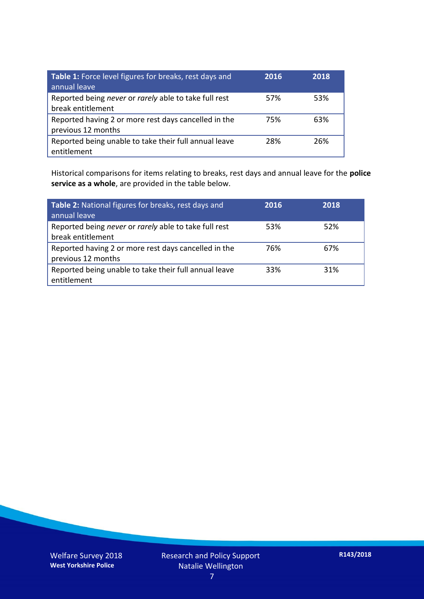| Table 1: Force level figures for breaks, rest days and<br>annual leave     | 2016 | 2018 |
|----------------------------------------------------------------------------|------|------|
| Reported being never or rarely able to take full rest<br>break entitlement | 57%  | 53%  |
| Reported having 2 or more rest days cancelled in the<br>previous 12 months | 75%  | 63%  |
| Reported being unable to take their full annual leave<br>entitlement       | 28%  | 26%  |

Historical comparisons for items relating to breaks, rest days and annual leave for the **police service as a whole**, are provided in the table below.

| Table 2: National figures for breaks, rest days and<br>annual leave        | 2016 | 2018 |
|----------------------------------------------------------------------------|------|------|
| Reported being never or rarely able to take full rest<br>break entitlement | 53%  | 52%  |
| Reported having 2 or more rest days cancelled in the<br>previous 12 months | 76%  | 67%  |
| Reported being unable to take their full annual leave<br>entitlement       | 33%  | 31%  |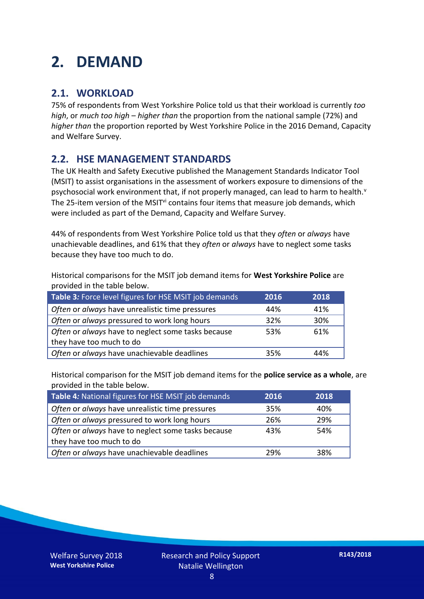### **2. DEMAND**

#### **2.1. WORKLOAD**

75% of respondents from West Yorkshire Police told us that their workload is currently *too high*, or *much too high* – *higher than* the proportion from the national sample (72%) and *higher than* the proportion reported by West Yorkshire Police in the 2016 Demand, Capacity and Welfare Survey.

#### **2.2. HSE MANAGEMENT STANDARDS**

The UK Health and Safety Executive published the Management Standards Indicator Tool (MSIT) to assist organisations in the assessment of workers exposure to dimensions of the psychosocial work environment that, if not properly managed, can lead to harm to health.<sup>v</sup> The 25-item version of the MSIT<sup>vi</sup> contains four items that measure job demands, which were included as part of the Demand, Capacity and Welfare Survey.

44% of respondents from West Yorkshire Police told us that they *often* or *always* have unachievable deadlines, and 61% that they *often* or *always* have to neglect some tasks because they have too much to do.

Historical comparisons for the MSIT job demand items for **West Yorkshire Police** are provided in the table below.

| Table 3: Force level figures for HSE MSIT job demands | 2016 | 2018 |
|-------------------------------------------------------|------|------|
| Often or always have unrealistic time pressures       | 44%  | 41%  |
| Often or always pressured to work long hours          | 32%  | 30%  |
| Often or always have to neglect some tasks because    | 53%  | 61%  |
| they have too much to do                              |      |      |
| Often or always have unachievable deadlines           | 35%  | 44%  |

Historical comparison for the MSIT job demand items for the **police service as a whole**, are provided in the table below.

| Table 4: National figures for HSE MSIT job demands | 2016 | 2018 |
|----------------------------------------------------|------|------|
| Often or always have unrealistic time pressures    | 35%  | 40%  |
| Often or always pressured to work long hours       | 26%  | 29%  |
| Often or always have to neglect some tasks because | 43%  | 54%  |
| they have too much to do                           |      |      |
| Often or always have unachievable deadlines        | 29%  | 38%  |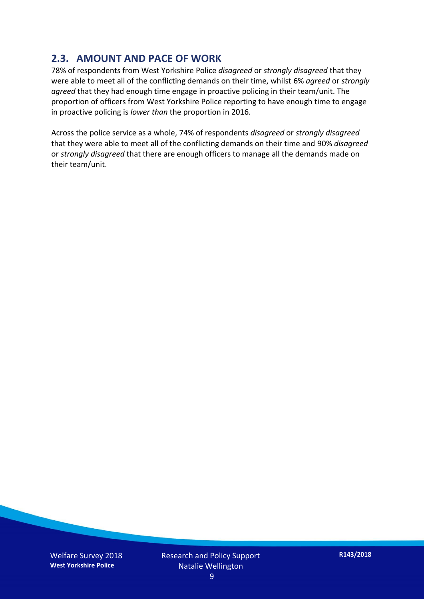#### **2.3. AMOUNT AND PACE OF WORK**

78% of respondents from West Yorkshire Police *disagreed* or *strongly disagreed* that they were able to meet all of the conflicting demands on their time, whilst 6% *agreed* or *strongly agreed* that they had enough time engage in proactive policing in their team/unit. The proportion of officers from West Yorkshire Police reporting to have enough time to engage in proactive policing is *lower than* the proportion in 2016.

Across the police service as a whole, 74% of respondents *disagreed* or *strongly disagreed* that they were able to meet all of the conflicting demands on their time and 90% *disagreed* or *strongly disagreed* that there are enough officers to manage all the demands made on their team/unit.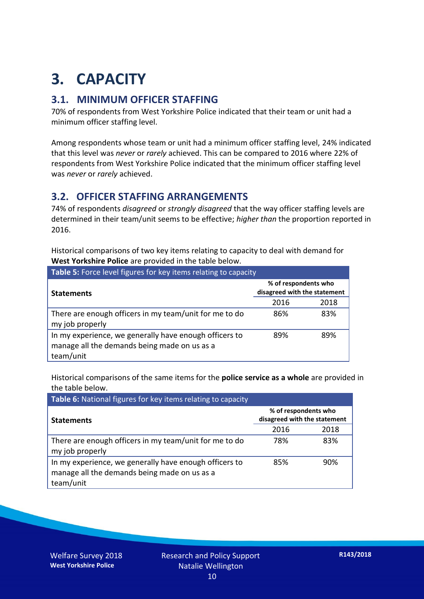## **3. CAPACITY**

#### **3.1. MINIMUM OFFICER STAFFING**

70% of respondents from West Yorkshire Police indicated that their team or unit had a minimum officer staffing level.

Among respondents whose team or unit had a minimum officer staffing level, 24% indicated that this level was *never* or *rarely* achieved. This can be compared to 2016 where 22% of respondents from West Yorkshire Police indicated that the minimum officer staffing level was *never* or *rarely* achieved.

#### **3.2. OFFICER STAFFING ARRANGEMENTS**

74% of respondents *disagreed* or *strongly disagreed* that the way officer staffing levels are determined in their team/unit seems to be effective; *higher than* the proportion reported in 2016.

Historical comparisons of two key items relating to capacity to deal with demand for **West Yorkshire Police** are provided in the table below.

| Table 5: Force level figures for key items relating to capacity                                                     |                                                      |      |  |
|---------------------------------------------------------------------------------------------------------------------|------------------------------------------------------|------|--|
| <b>Statements</b>                                                                                                   | % of respondents who<br>disagreed with the statement |      |  |
|                                                                                                                     | 2016                                                 | 2018 |  |
| There are enough officers in my team/unit for me to do<br>my job properly                                           | 86%                                                  | 83%  |  |
| In my experience, we generally have enough officers to<br>manage all the demands being made on us as a<br>team/unit | 89%                                                  | 89%  |  |

Historical comparisons of the same items for the **police service as a whole** are provided in the table below.

| Table 6: National figures for key items relating to capacity                                                        |                                                      |      |  |  |
|---------------------------------------------------------------------------------------------------------------------|------------------------------------------------------|------|--|--|
| <b>Statements</b>                                                                                                   | % of respondents who<br>disagreed with the statement |      |  |  |
|                                                                                                                     | 2016                                                 | 2018 |  |  |
| There are enough officers in my team/unit for me to do<br>my job properly                                           | 78%                                                  | 83%  |  |  |
| In my experience, we generally have enough officers to<br>manage all the demands being made on us as a<br>team/unit | 85%                                                  | 90%  |  |  |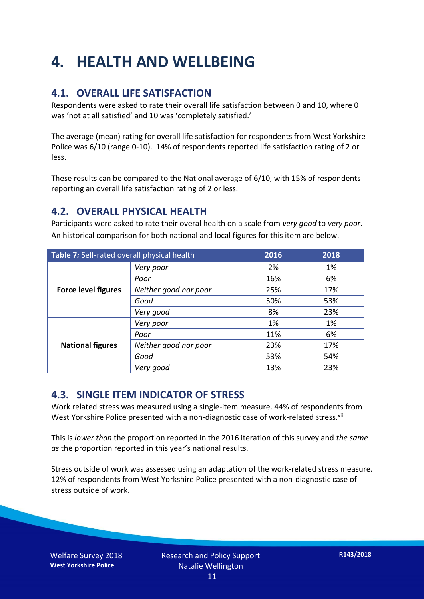### **4. HEALTH AND WELLBEING**

#### **4.1. OVERALL LIFE SATISFACTION**

Respondents were asked to rate their overall life satisfaction between 0 and 10, where 0 was 'not at all satisfied' and 10 was 'completely satisfied.'

The average (mean) rating for overall life satisfaction for respondents from West Yorkshire Police was 6/10 (range 0-10). 14% of respondents reported life satisfaction rating of 2 or less.

These results can be compared to the National average of 6/10, with 15% of respondents reporting an overall life satisfaction rating of 2 or less.

#### **4.2. OVERALL PHYSICAL HEALTH**

Participants were asked to rate their overal health on a scale from *very good* to *very poor*. An historical comparison for both national and local figures for this item are below.

| Table 7: Self-rated overall physical health |                       | 2016 | 2018 |
|---------------------------------------------|-----------------------|------|------|
| <b>Force level figures</b>                  | Very poor             | 2%   | 1%   |
|                                             | Poor                  | 16%  | 6%   |
|                                             | Neither good nor poor | 25%  | 17%  |
|                                             | Good                  | 50%  | 53%  |
|                                             | Very good             | 8%   | 23%  |
| <b>National figures</b>                     | Very poor             | 1%   | 1%   |
|                                             | Poor                  | 11%  | 6%   |
|                                             | Neither good nor poor | 23%  | 17%  |
|                                             | Good                  | 53%  | 54%  |
|                                             | Very good             | 13%  | 23%  |

#### **4.3. SINGLE ITEM INDICATOR OF STRESS**

Work related stress was measured using a single-item measure. 44% of respondents from West Yorkshire Police presented with a non-diagnostic case of work-related stress.<sup>vii</sup>

This is *lower than* the proportion reported in the 2016 iteration of this survey and *the same as* the proportion reported in this year's national results.

Stress outside of work was assessed using an adaptation of the work-related stress measure. 12% of respondents from West Yorkshire Police presented with a non-diagnostic case of stress outside of work.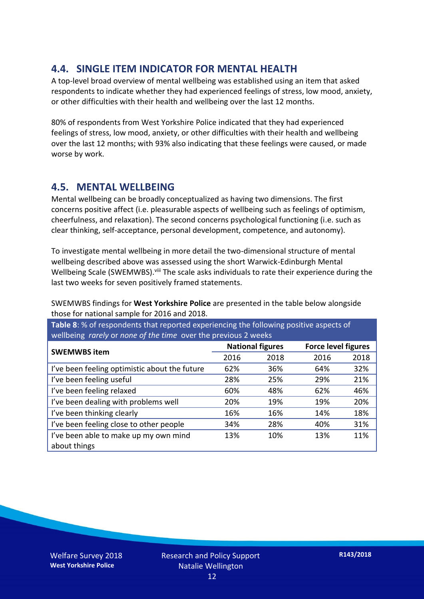#### **4.4. SINGLE ITEM INDICATOR FOR MENTAL HEALTH**

A top-level broad overview of mental wellbeing was established using an item that asked respondents to indicate whether they had experienced feelings of stress, low mood, anxiety, or other difficulties with their health and wellbeing over the last 12 months.

80% of respondents from West Yorkshire Police indicated that they had experienced feelings of stress, low mood, anxiety, or other difficulties with their health and wellbeing over the last 12 months; with 93% also indicating that these feelings were caused, or made worse by work.

#### **4.5. MENTAL WELLBEING**

Mental wellbeing can be broadly conceptualized as having two dimensions. The first concerns positive affect (i.e. pleasurable aspects of wellbeing such as feelings of optimism, cheerfulness, and relaxation). The second concerns psychological functioning (i.e. such as clear thinking, self-acceptance, personal development, competence, and autonomy).

To investigate mental wellbeing in more detail the two-dimensional structure of mental wellbeing described above was assessed using the short Warwick-Edinburgh Mental Wellbeing Scale (SWEMWBS). viii The scale asks individuals to rate their experience during the last two weeks for seven positively framed statements.

SWEMWBS findings for **West Yorkshire Police** are presented in the table below alongside those for national sample for 2016 and 2018.

**Table 8**: % of respondents that reported experiencing the following positive aspects of wellbeing *rarely* or *none of the time* over the previous 2 weeks

| <b>SWEMWBS item</b>                           | <b>National figures</b> |      | <b>Force level figures</b> |      |
|-----------------------------------------------|-------------------------|------|----------------------------|------|
|                                               | 2016                    | 2018 | 2016                       | 2018 |
| I've been feeling optimistic about the future | 62%                     | 36%  | 64%                        | 32%  |
| I've been feeling useful                      | 28%                     | 25%  | 29%                        | 21%  |
| I've been feeling relaxed                     | 60%                     | 48%  | 62%                        | 46%  |
| I've been dealing with problems well          | 20%                     | 19%  | 19%                        | 20%  |
| I've been thinking clearly                    | 16%                     | 16%  | 14%                        | 18%  |
| I've been feeling close to other people       | 34%                     | 28%  | 40%                        | 31%  |
| I've been able to make up my own mind         | 13%                     | 10%  | 13%                        | 11%  |
| about things                                  |                         |      |                            |      |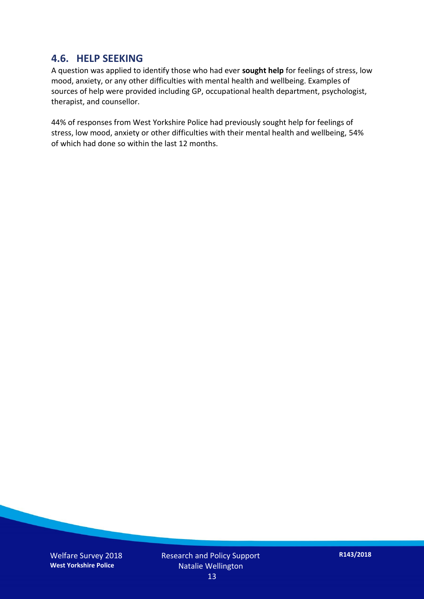#### **4.6. HELP SEEKING**

A question was applied to identify those who had ever **sought help** for feelings of stress, low mood, anxiety, or any other difficulties with mental health and wellbeing. Examples of sources of help were provided including GP, occupational health department, psychologist, therapist, and counsellor.

44% of responses from West Yorkshire Police had previously sought help for feelings of stress, low mood, anxiety or other difficulties with their mental health and wellbeing, 54% of which had done so within the last 12 months.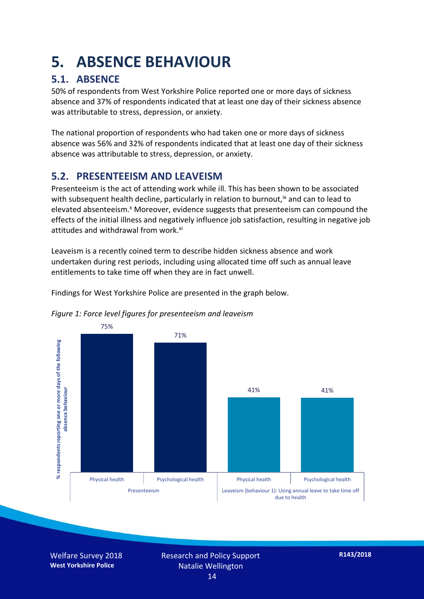### **5. ABSENCE BEHAVIOUR**

#### **5.1. ABSENCE**

50% of respondents from West Yorkshire Police reported one or more days of sickness absence and 37% of respondents indicated that at least one day of their sickness absence was attributable to stress, depression, or anxiety.

The national proportion of respondents who had taken one or more days of sickness absence was 56% and 32% of respondents indicated that at least one day of their sickness absence was attributable to stress, depression, or anxiety.

#### **5.2. PRESENTEEISM AND LEAVEISM**

Presenteeism is the act of attending work while ill. This has been shown to be associated with subsequent health decline, particularly in relation to burnout,  $\alpha$  and can to lead to elevated absenteeism.<sup>x</sup> Moreover, evidence suggests that presenteeism can compound the effects of the initial illness and negatively influence job satisfaction, resulting in negative job attitudes and withdrawal from work.<sup>xi</sup>

Leaveism is a recently coined term to describe hidden sickness absence and work undertaken during rest periods, including using allocated time off such as annual leave entitlements to take time off when they are in fact unwell.

Findings for West Yorkshire Police are presented in the graph below.



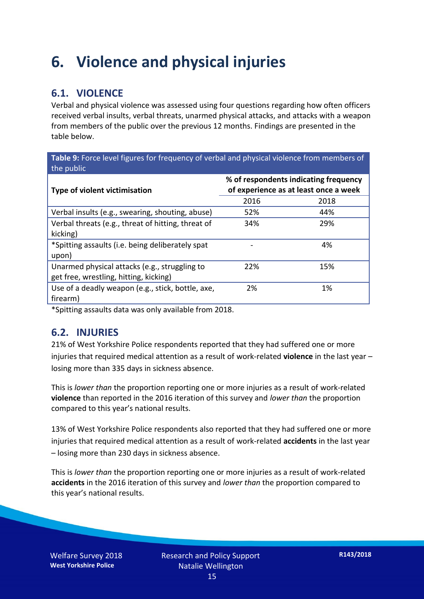### **6. Violence and physical injuries**

#### **6.1. VIOLENCE**

Verbal and physical violence was assessed using four questions regarding how often officers received verbal insults, verbal threats, unarmed physical attacks, and attacks with a weapon from members of the public over the previous 12 months. Findings are presented in the table below.

**Table 9:** Force level figures for frequency of verbal and physical violence from members of the public

| <b>Type of violent victimisation</b>               | % of respondents indicating frequency<br>of experience as at least once a week |      |  |
|----------------------------------------------------|--------------------------------------------------------------------------------|------|--|
|                                                    | 2016                                                                           | 2018 |  |
| Verbal insults (e.g., swearing, shouting, abuse)   | 52%                                                                            | 44%  |  |
| Verbal threats (e.g., threat of hitting, threat of | 34%                                                                            | 29%  |  |
| kicking)                                           |                                                                                |      |  |
| *Spitting assaults (i.e. being deliberately spat   |                                                                                | 4%   |  |
| upon)                                              |                                                                                |      |  |
| Unarmed physical attacks (e.g., struggling to      | 22%                                                                            | 15%  |  |
| get free, wrestling, hitting, kicking)             |                                                                                |      |  |
| Use of a deadly weapon (e.g., stick, bottle, axe,  | 2%                                                                             | 1%   |  |
| firearm)                                           |                                                                                |      |  |

\*Spitting assaults data was only available from 2018.

#### **6.2. INJURIES**

21% of West Yorkshire Police respondents reported that they had suffered one or more injuries that required medical attention as a result of work-related **violence** in the last year – losing more than 335 days in sickness absence.

This is *lower than* the proportion reporting one or more injuries as a result of work-related **violence** than reported in the 2016 iteration of this survey and *lower than* the proportion compared to this year's national results.

13% of West Yorkshire Police respondents also reported that they had suffered one or more injuries that required medical attention as a result of work-related **accidents** in the last year – losing more than 230 days in sickness absence.

This is *lower than* the proportion reporting one or more injuries as a result of work-related **accidents** in the 2016 iteration of this survey and *lower than* the proportion compared to this year's national results.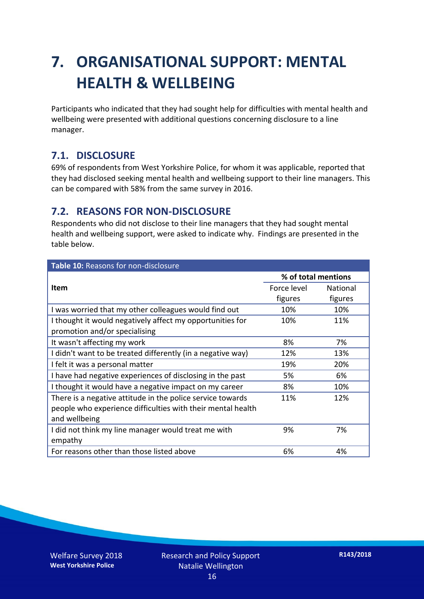### **7. ORGANISATIONAL SUPPORT: MENTAL HEALTH & WELLBEING**

Participants who indicated that they had sought help for difficulties with mental health and wellbeing were presented with additional questions concerning disclosure to a line manager.

#### **7.1. DISCLOSURE**

69% of respondents from West Yorkshire Police, for whom it was applicable, reported that they had disclosed seeking mental health and wellbeing support to their line managers. This can be compared with 58% from the same survey in 2016.

#### **7.2. REASONS FOR NON-DISCLOSURE**

Respondents who did not disclose to their line managers that they had sought mental health and wellbeing support, were asked to indicate why. Findings are presented in the table below.

| Table 10: Reasons for non-disclosure                        |             |                     |  |
|-------------------------------------------------------------|-------------|---------------------|--|
|                                                             |             | % of total mentions |  |
| Item                                                        | Force level | <b>National</b>     |  |
|                                                             | figures     | figures             |  |
| I was worried that my other colleagues would find out       | 10%         | 10%                 |  |
| I thought it would negatively affect my opportunities for   | 10%         | 11%                 |  |
| promotion and/or specialising                               |             |                     |  |
| It wasn't affecting my work                                 | 8%          | 7%                  |  |
| I didn't want to be treated differently (in a negative way) | 12%         | 13%                 |  |
| I felt it was a personal matter                             | 19%         | 20%                 |  |
| I have had negative experiences of disclosing in the past   | 5%          | 6%                  |  |
| I thought it would have a negative impact on my career      | 8%          | 10%                 |  |
| There is a negative attitude in the police service towards  | 11%         | 12%                 |  |
| people who experience difficulties with their mental health |             |                     |  |
| and wellbeing                                               |             |                     |  |
| I did not think my line manager would treat me with         | 9%          | 7%                  |  |
| empathy                                                     |             |                     |  |
| For reasons other than those listed above                   | 6%          | 4%                  |  |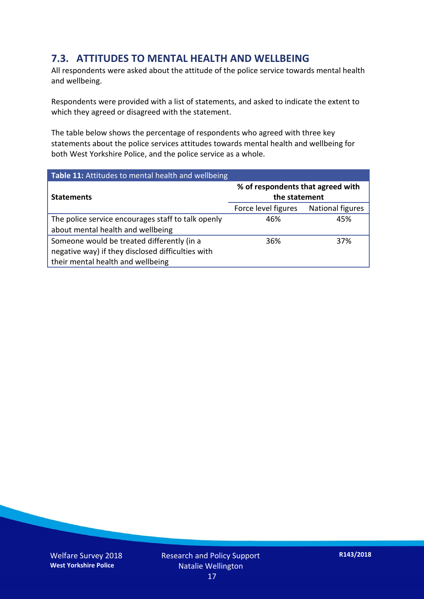#### **7.3. ATTITUDES TO MENTAL HEALTH AND WELLBEING**

All respondents were asked about the attitude of the police service towards mental health and wellbeing.

Respondents were provided with a list of statements, and asked to indicate the extent to which they agreed or disagreed with the statement.

The table below shows the percentage of respondents who agreed with three key statements about the police services attitudes towards mental health and wellbeing for both West Yorkshire Police, and the police service as a whole.

| Table 11: Attitudes to mental health and wellbeing |                                                    |                         |  |
|----------------------------------------------------|----------------------------------------------------|-------------------------|--|
| <b>Statements</b>                                  | % of respondents that agreed with<br>the statement |                         |  |
|                                                    | Force level figures                                | <b>National figures</b> |  |
| The police service encourages staff to talk openly | 46%                                                | 45%                     |  |
| about mental health and wellbeing                  |                                                    |                         |  |
| Someone would be treated differently (in a         | 36%                                                | 37%                     |  |
| negative way) if they disclosed difficulties with  |                                                    |                         |  |
| their mental health and wellbeing                  |                                                    |                         |  |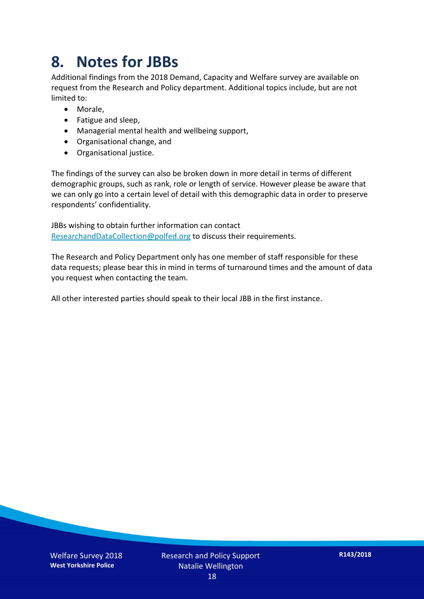### **8. Notes for JBBs**

Additional findings from the 2018 Demand, Capacity and Welfare survey are available on request from the Research and Policy department. Additional topics include, but are not limited to:

- Morale,
- Fatigue and sleep,
- Managerial mental health and wellbeing support,
- Organisational change, and
- Organisational justice.

The findings of the survey can also be broken down in more detail in terms of different demographic groups, such as rank, role or length of service. However please be aware that we can only go into a certain level of detail with this demographic data in order to preserve respondents' confidentiality.

JBBs wishing to obtain further information can contact [ResearchandDataCollection@polfed.org](mailto:ResearchandDataCollection@polfed.org) to discuss their requirements.

The Research and Policy Department only has one member of staff responsible for these data requests; please bear this in mind in terms of turnaround times and the amount of data you request when contacting the team.

All other interested parties should speak to their local JBB in the first instance.